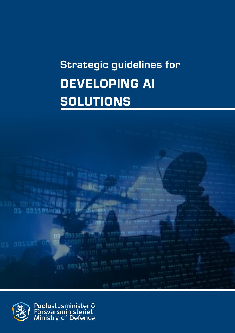# Strategic guidelines for DEVELOPING AI SOLUTIONS





Puolustusministeriö<br>Försvarsministeriet<br>Ministry of Defence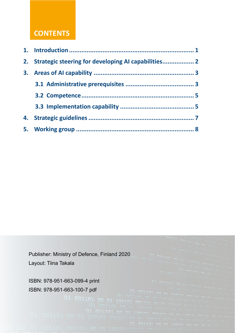# **CONTENTS**

| 2. Strategic steering for developing AI capabilities |  |
|------------------------------------------------------|--|
|                                                      |  |
|                                                      |  |
|                                                      |  |
|                                                      |  |
|                                                      |  |
|                                                      |  |

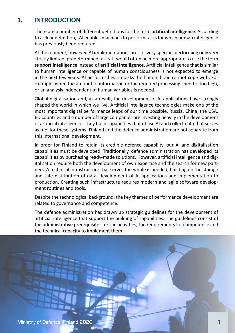# <span id="page-2-0"></span>**1. INTRODUCTION**

There are a number of different definitions for the term **artificial intelligence**. According to a clear definition, "AI enables machines to perform tasks for which human intelligence has previously been required".

At the moment, however, AI implementations are still very specific, performing only very strictly limited, predetermined tasks. It would often be more appropriate to use the term **support intelligence** instead of **artificial intelligence**. Artificial intelligence that is similar to human intelligence or capable of human consciousness is not expected to emerge in the next few years. AI performs best in tasks the human brain cannot cope with. For example, when the amount of information or the required processing speed is too high, or an analysis independent of human variables is needed.

Global digitalisation and, as a result, the development of AI applications have strongly shaped the world in which we live. Artificial intelligence technologies make one of the most important digital performance leaps of our time possible. Russia, China, the USA, EU countries and a number of large companies are investing heavily in the development of artificial intelligence. They build capabilities that utilise AI and collect data that serves as fuel for these systems. Finland and the defence administration are not separate from this international development.

In order for Finland to retain its credible defence capability, our AI and digitalisation capabilities must be developed. Traditionally, defence administration has developed its capabilities by purchasing ready-made solutions. However, artificial intelligence and digitalisation require both the development of own expertise and the search for new partners. A technical infrastructure that serves the whole is needed, building on the storage and safe distribution of data, development of AI applications and implementation to production. Creating such infrastructure requires modern and agile software development routines and tools.

Despite the technological background, the key themes of performance development are related to governance and competence.

The defence administration has drawn up strategic guidelines for the development of artificial intelligence that support the building of capabilities. The guidelines consist of the administrative prerequisites for the activities, the requirements for competence and the technical capacity to implement them.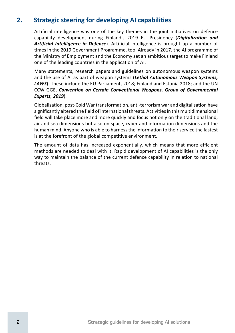# <span id="page-3-0"></span>**2. Strategic steering for developing AI capabilities**

Artificial intelligence was one of the key themes in the joint initiatives on defence capability development during Finland's 2019 EU Presidency (*Digitalization and Artificial Intelligence in Defence*). Artificial intelligence is brought up a number of times in the 2019 Government Programme, too. Already in 2017, the AI programme of the Ministry of Employment and the Economy set an ambitious target to make Finland one of the leading countries in the application of AI.

Many statements, research papers and guidelines on autonomous weapon systems and the use of AI as part of weapon systems (*Lethal Autonomous Weapon Systems, LAWS*). These include the EU Parliament, 2018; Finland and Estonia 2018; and the UN CCW GGE, *Convention on Certain Conventional Weapons, Group of Governmental Experts, 2019*).

Globalisation, post-Cold War transformation, anti-terrorism war and digitalisation have significantly altered the field of international threats. Activities in this multidimensional field will take place more and more quickly and focus not only on the traditional land, air and sea dimensions but also on space, cyber and information dimensions and the human mind. Anyone who is able to harness the information to their service the fastest is at the forefront of the global competitive environment.

The amount of data has increased exponentially, which means that more efficient methods are needed to deal with it. Rapid development of AI capabilities is the only way to maintain the balance of the current defence capability in relation to national threats.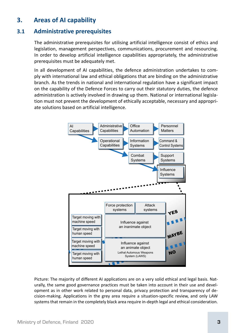### <span id="page-4-0"></span>**3. Areas of AI capability**

#### **3.1 Administrative prerequisites**

The administrative prerequisites for utilising artificial intelligence consist of ethics and legislation, management perspectives, communications, procurement and resourcing. In order to develop artificial intelligence capabilities appropriately, the administrative prerequisites must be adequately met.

In all development of AI capabilities, the defence administration undertakes to comply with international law and ethical obligations that are binding on the administrative branch. As the trends in national and international regulation have a significant impact on the capability of the Defence Forces to carry out their statutory duties, the defence administration is actively involved in drawing up them. National or international legislation must not prevent the development of ethically acceptable, necessary and appropriate solutions based on artificial intelligence.



Picture: The majority of different AI applications are on a very solid ethical and legal basis. Naturally, the same good governance practices must be taken into account in their use and development as in other work related to personal data, privacy protection and transparency of decision-making. Applications in the grey area require a situation-specific review, and only LAW systems that remain in the completely black area require in-depth legal and ethical consideration.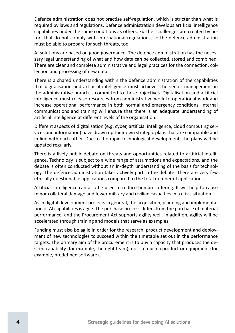Defence administration does not practise self-regulation, which is stricter than what is required by laws and regulations. Defence administration develops artificial intelligence capabilities under the same conditions as others. Further challenges are created by actors that do not comply with international regulations, so the defence administration must be able to prepare for such threats, too.

AI solutions are based on good governance. The defence administration has the necessary legal understanding of what and how data can be collected, stored and combined. There are clear and complete administrative and legal practices for the connection, collection and processing of new data.

There is a shared understanding within the defence administration of the capabilities that digitalisation and artificial intelligence must achieve. The senior management in the administrative branch is committed to these objectives. Digitalisation and artificial intelligence must release resources from administrative work to operational work and increase operational performance in both normal and emergency conditions. Internal communications and training will ensure that there is an adequate understanding of artificial intelligence at different levels of the organisation.

Different aspects of digitalisation (e.g. cyber, artificial intelligence, cloud computing services and information) have drawn up their own strategic plans that are compatible and in line with each other. Due to the rapid technological development, the plans will be updated regularly.

There is a lively public debate on threats and opportunities related to artificial intelligence. Technology is subject to a wide range of assumptions and expectations, and the debate is often conducted without an in-depth understanding of the basis for technology. The defence administration takes actively part in the debate. There are very few ethically questionable applications compared to the total number of applications.

Artificial intelligence can also be used to reduce human suffering. It will help to cause minor collateral damage and fewer military and civilian casualties in a crisis situation.

As in digital development projects in general, the acquisition, planning and implementation of AI capabilities is agile. The purchase process differs from the purchase of material performance, and the Procurement Act supports agility well. In addition, agility will be accelerated through training and models that serve as examples.

Funding must also be agile in order for the research, product development and deployment of new technologies to succeed within the timetable set out in the performance targets. The primary aim of the procurement is to buy a capacity that produces the desired capability (for example, the right team), not so much a product or equipment (for example, predefined software)..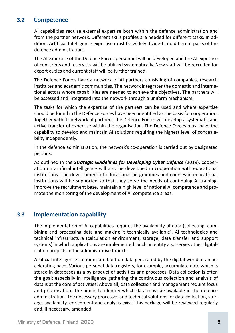#### **3.2 Competence**

AI capabilities require external expertise both within the defence administration and from the partner network. Different skills profiles are needed for different tasks. In addition, Artificial Intelligence expertise must be widely divided into different parts of the defence administration.

The AI expertise of the Defence Forces personnel will be developed and the AI expertise of conscripts and reservists will be utilised systematically. New staff will be recruited for expert duties and current staff will be further trained.

The Defence Forces have a network of AI partners consisting of companies, research institutes and academic communities. The network integrates the domestic and international actors whose capabilities are needed to achieve the objectives. The partners will be assessed and integrated into the network through a uniform mechanism.

The tasks for which the expertise of the partners can be used and where expertise should be found in the Defence Forces have been identified as the basis for cooperation. Together with its network of partners, the Defence Forces will develop a systematic and active transfer of expertise within the organisation. The Defence Forces must have the capability to develop and maintain AI solutions requiring the highest level of concealability independently.

In the defence administration, the network's co-operation is carried out by designated persons.

As outlined in the *Strategic Guidelines for Developing Cyber Defence* (2019), cooperation on artificial intelligence will also be developed in cooperation with educational institutions. The development of educational programmes and courses in educational institutions will be supported so that they serve the needs of continuing AI training, improve the recruitment base, maintain a high level of national AI competence and promote the monitoring of the development of AI competence areas.

#### **3.3 Implementation capability**

The implementation of AI capabilities requires the availability of data (collecting, combining and processing data and making it technically available), AI technologies and technical infrastructure (calculation environment, storage, data transfer and support systems) in which applications are implemented. Such an entity also serves other digitalisation projects in the administrative branch.

Artificial intelligence solutions are built on data generated by the digital world at an accelerating pace. Various personal data registers, for example, accumulate date which is stored in databases as a by-product of activities and processes. Data collection is often the goal; especially in intelligence gathering the continuous collection and analysis of data is at the core of activities. Above all, data collection and management require focus and prioritisation. The aim is to identify which data must be available in the defence administration. The necessary processes and technical solutions for data collection, storage, availability, enrichment and analysis exist. This package will be reviewed regularly and, if necessary, amended.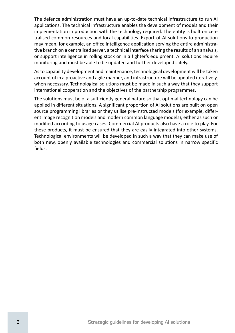<span id="page-7-0"></span>The defence administration must have an up-to-date technical infrastructure to run AI applications. The technical infrastructure enables the development of models and their implementation in production with the technology required. The entity is built on centralised common resources and local capabilities. Export of AI solutions to production may mean, for example, an office intelligence application serving the entire administrative branch on a centralised server, a technical interface sharing the results of an analysis, or support intelligence in rolling stock or in a fighter's equipment. AI solutions require monitoring and must be able to be updated and further developed safely.

As to capability development and maintenance, technological development will be taken account of in a proactive and agile manner, and infrastructure will be updated iteratively, when necessary. Technological solutions must be made in such a way that they support international cooperation and the objectives of the partnership programmes.

The solutions must be of a sufficiently general nature so that optimal technology can be applied in different situations. A significant proportion of AI solutions are built on open source programming libraries or they utilise pre-instructed models (for example, different image recognition models and modern common language models), either as such or modified according to usage cases. Commercial AI products also have a role to play. For these products, it must be ensured that they are easily integrated into other systems. Technological environments will be developed in such a way that they can make use of both new, openly available technologies and commercial solutions in narrow specific fields.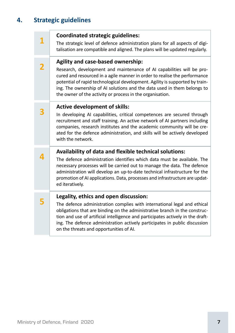# **4. Strategic guidelines**

|   | <b>Coordinated strategic guidelines:</b>                                                                                                                                                                                                                                                                                                                                   |  |
|---|----------------------------------------------------------------------------------------------------------------------------------------------------------------------------------------------------------------------------------------------------------------------------------------------------------------------------------------------------------------------------|--|
|   | The strategic level of defence administration plans for all aspects of digi-<br>talisation are compatible and aligned. The plans will be updated regularly.                                                                                                                                                                                                                |  |
|   | Agility and case-based ownership:                                                                                                                                                                                                                                                                                                                                          |  |
| 2 | Research, development and maintenance of AI capabilities will be pro-<br>cured and resourced in a agile manner in order to realise the performance<br>potential of rapid technological development. Agility is supported by train-<br>ing. The ownership of AI solutions and the data used in them belongs to<br>the owner of the activity or process in the organisation. |  |
|   | <b>Active development of skills:</b>                                                                                                                                                                                                                                                                                                                                       |  |
|   | In developing AI capabilities, critical competences are secured through<br>recruitment and staff training. An active network of AI partners including<br>companies, research institutes and the academic community will be cre-<br>ated for the defence administration, and skills will be actively developed<br>with the network.                                         |  |
|   | Availability of data and flexible technical solutions:                                                                                                                                                                                                                                                                                                                     |  |
|   | The defence administration identifies which data must be available. The<br>necessary processes will be carried out to manage the data. The defence<br>administration will develop an up-to-date technical infrastructure for the<br>promotion of AI applications. Data, processes and infrastructure are updat-<br>ed iteratively.                                         |  |
|   | Legality, ethics and open discussion:                                                                                                                                                                                                                                                                                                                                      |  |
|   | The defence administration complies with international legal and ethical<br>obligations that are binding on the administrative branch in the construc-<br>tion and use of artificial intelligence and participates actively in the draft-<br>ing. The defence administration actively participates in public discussion<br>on the threats and opportunities of AI.         |  |
|   |                                                                                                                                                                                                                                                                                                                                                                            |  |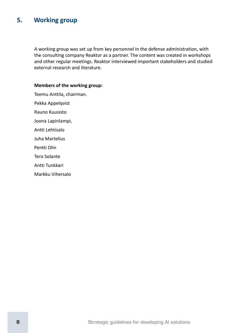## <span id="page-9-0"></span>**5. Working group**

A working group was set up from key personnel in the defense administration, with the consulting company Reaktor as a partner. The content was created in workshops and other regular meetings. Reaktor interviewed important stakeholders and studied external research and literature.

#### **Members of the working group:**

Teemu Anttila, chairman. Pekka Appelqvist Rauno Kuusisto

Joona Lapinlampi,

Antti Lehtisalo

Juha Martelius

Pentti Olin

Tero Solante

Antti Tunkkari

Markku Vihersalo